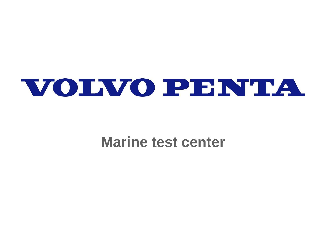

## **Marine test center**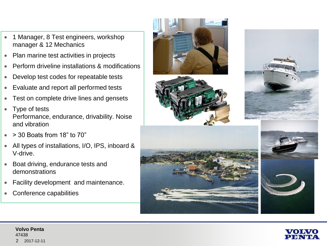- 1 Manager, 8 Test engineers, workshop manager & 12 Mechanics
- Plan marine test activities in projects
- Perform driveline installations & modifications
- Develop test codes for repeatable tests
- Evaluate and report all performed tests
- Test on complete drive lines and gensets
- Type of tests Performance, endurance, drivability. Noise and vibration
- > 30 Boats from 18" to 70"
- All types of installations, I/O, IPS, inboard & V-drive.
- Boat driving, endurance tests and demonstrations
- Facility development and maintenance.
- Conference capabilities









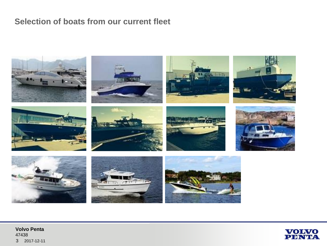## **Selection of boats from our current fleet**



**Volvo Penta** 47438 3 2017-12-11